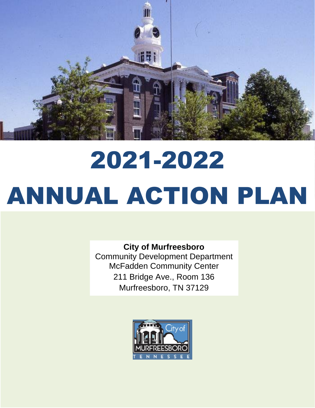

# 2021-2022 ANNUAL ACTION PLAN

**City of Murfreesboro** Community Development Department McFadden Community Center 211 Bridge Ave., Room 136 Murfreesboro, TN 37129

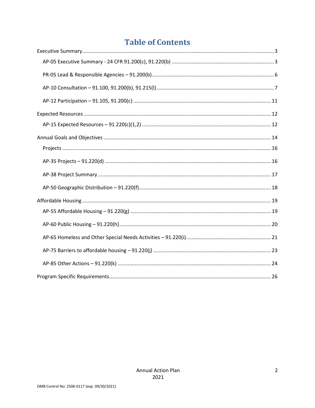# **Table of Contents**

<span id="page-1-0"></span>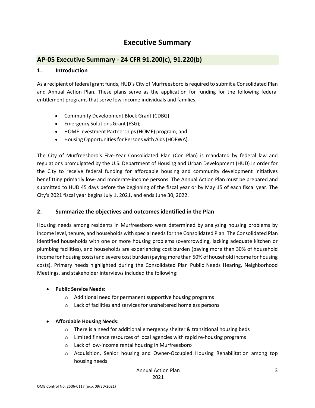# **Executive Summary**

## <span id="page-2-0"></span>**AP-05 Executive Summary - 24 CFR 91.200(c), 91.220(b)**

#### **1. Introduction**

As a recipient of federal grant funds, HUD's City of Murfreesboro is required to submit a Consolidated Plan and Annual Action Plan. These plans serve as the application for funding for the following federal entitlement programs that serve low-income individuals and families.

- Community Development Block Grant (CDBG)
- Emergency Solutions Grant (ESG);
- HOME Investment Partnerships(HOME) program; and
- Housing Opportunities for Persons with Aids (HOPWA).

The City of Murfreesboro's Five-Year Consolidated Plan (Con Plan) is mandated by federal law and regulations promulgated by the U.S. Department of Housing and Urban Development (HUD) in order for the City to receive federal funding for affordable housing and community development initiatives benefitting primarily low- and moderate-income persons. The Annual Action Plan must be prepared and submitted to HUD 45 days before the beginning of the fiscal year or by May 15 of each fiscal year. The City's 2021 fiscal year begins July 1, 2021, and ends June 30, 2022.

#### **2. Summarize the objectives and outcomes identified in the Plan**

Housing needs among residents in Murfreesboro were determined by analyzing housing problems by income level, tenure, and households with special needs for the Consolidated Plan. The Consolidated Plan identified households with one or more housing problems (overcrowding, lacking adequate kitchen or plumbing facilities), and households are experiencing cost burden (paying more than 30% of household income for housing costs) and severe cost burden (paying more than 50% of household income for housing costs). Primary needs highlighted during the Consolidated Plan Public Needs Hearing, Neighborhood Meetings, and stakeholder interviews included the following:

#### • **Public Service Needs:**

- o Additional need for permanent supportive housing programs
- o Lack of facilities and services for unsheltered homeless persons

#### • **Affordable Housing Needs:**

- $\circ$  There is a need for additional emergency shelter & transitional housing beds
- o Limited finance resources of local agencies with rapid re-housing programs
- o Lack of low-income rental housing in Murfreesboro
- o Acquisition, Senior housing and Owner-Occupied Housing Rehabilitation among top housing needs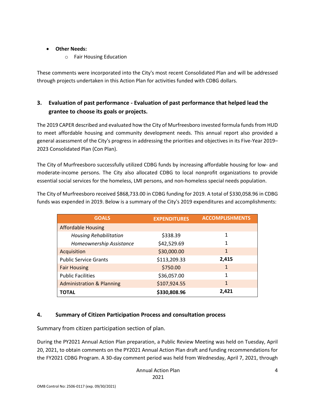#### • **Other Needs:**

o Fair Housing Education

These comments were incorporated into the City's most recent Consolidated Plan and will be addressed through projects undertaken in this Action Plan for activities funded with CDBG dollars.

# **3. Evaluation of past performance - Evaluation of past performance that helped lead the grantee to choose its goals or projects.**

The 2019 CAPER described and evaluated how the City of Murfreesboro invested formula funds from HUD to meet affordable housing and community development needs. This annual report also provided a general assessment of the City's progress in addressing the priorities and objectives in its Five-Year 2019– 2023 Consolidated Plan (Con Plan).

The City of Murfreesboro successfully utilized CDBG funds by increasing affordable housing for low- and moderate-income persons. The City also allocated CDBG to local nonprofit organizations to provide essential social services for the homeless, LMI persons, and non-homeless special needs population.

The City of Murfreesboro received \$868,733.00 in CDBG funding for 2019. A total of \$330,058.96 in CDBG funds was expended in 2019. Below is a summary of the City's 2019 expenditures and accomplishments:

| <b>GOALS</b>                         | <b>EXPENDITURES</b> | <b>ACCOMPLISHMENTS</b> |
|--------------------------------------|---------------------|------------------------|
| <b>Affordable Housing</b>            |                     |                        |
| <b>Housing Rehabilitation</b>        | \$338.39            | 1                      |
| Homeownership Assistance             | \$42,529.69         |                        |
| Acquisition                          | \$30,000.00         | 1                      |
| <b>Public Service Grants</b>         | \$113,209.33        | 2,415                  |
| <b>Fair Housing</b>                  | \$750.00            | 1                      |
| <b>Public Facilities</b>             | \$36,057.00         | 1                      |
| <b>Administration &amp; Planning</b> | \$107,924.55        | $\mathbf{1}$           |
| <b>TOTAL</b>                         | \$330,808.96        | 2.421                  |

## **4. Summary of Citizen Participation Process and consultation process**

Summary from citizen participation section of plan.

During the PY2021 Annual Action Plan preparation, a Public Review Meeting was held on Tuesday, April 20, 2021, to obtain comments on the PY2021 Annual Action Plan draft and funding recommendations for the FY2021 CDBG Program. A 30-day comment period was held from Wednesday, April 7, 2021, through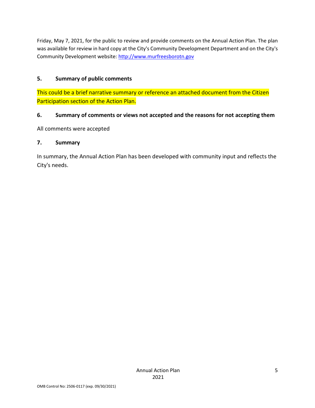Friday, May 7, 2021, for the public to review and provide comments on the Annual Action Plan. The plan was available for review in hard copy at the City's Community Development Department and on the City's Community Development website: [http://www.murfreesborotn.gov](http://www.murfreesborotn.gov/)

### **5. Summary of public comments**

This could be a brief narrative summary or reference an attached document from the Citizen Participation section of the Action Plan.

#### **6. Summary of comments or views not accepted and the reasons for not accepting them**

All comments were accepted

#### **7. Summary**

In summary, the Annual Action Plan has been developed with community input and reflects the City's needs.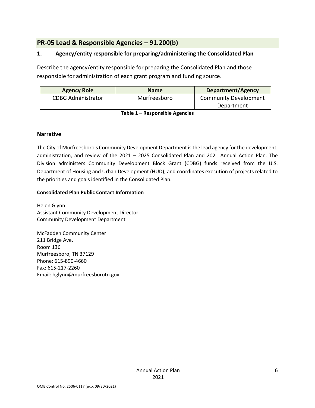# <span id="page-5-0"></span>**PR-05 Lead & Responsible Agencies – 91.200(b)**

#### **1. Agency/entity responsible for preparing/administering the Consolidated Plan**

Describe the agency/entity responsible for preparing the Consolidated Plan and those responsible for administration of each grant program and funding source.

| <b>Agency Role</b>        | <b>Name</b>  | <b>Department/Agency</b>     |
|---------------------------|--------------|------------------------------|
| <b>CDBG Administrator</b> | Murfreesboro | <b>Community Development</b> |
|                           |              | Department                   |

**Table 1 – Responsible Agencies**

#### **Narrative**

The City of Murfreesboro's Community Development Department is the lead agency for the development, administration, and review of the 2021 – 2025 Consolidated Plan and 2021 Annual Action Plan. The Division administers Community Development Block Grant (CDBG) funds received from the U.S. Department of Housing and Urban Development (HUD), and coordinates execution of projects related to the priorities and goals identified in the Consolidated Plan.

#### **Consolidated Plan Public Contact Information**

Helen Glynn Assistant Community Development Director Community Development Department

McFadden Community Center 211 Bridge Ave. Room 136 Murfreesboro, TN 37129 Phone: 615-890-4660 Fax: 615-217-2260 Email: hglynn@murfreesborotn.gov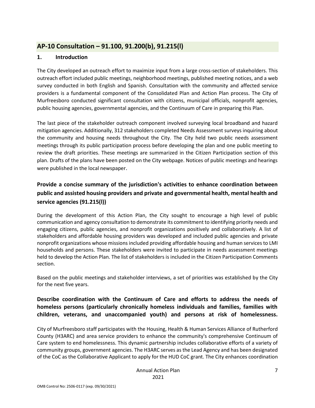# <span id="page-6-0"></span>**AP-10 Consultation – 91.100, 91.200(b), 91.215(l)**

#### **1. Introduction**

The City developed an outreach effort to maximize input from a large cross-section of stakeholders. This outreach effort included public meetings, neighborhood meetings, published meeting notices, and a web survey conducted in both English and Spanish. Consultation with the community and affected service providers is a fundamental component of the Consolidated Plan and Action Plan process. The City of Murfreesboro conducted significant consultation with citizens, municipal officials, nonprofit agencies, public housing agencies, governmental agencies, and the Continuum of Care in preparing this Plan.

The last piece of the stakeholder outreach component involved surveying local broadband and hazard mitigation agencies. Additionally, 312 stakeholders completed Needs Assessment surveys inquiring about the community and housing needs throughout the City. The City held two public needs assessment meetings through its public participation process before developing the plan and one public meeting to review the draft priorities. These meetings are summarized in the Citizen Participation section of this plan. Drafts of the plans have been posted on the City webpage. Notices of public meetings and hearings were published in the local newspaper.

# **Provide a concise summary of the jurisdiction's activities to enhance coordination between public and assisted housing providers and private and governmental health, mental health and service agencies (91.215(l))**

During the development of this Action Plan, the City sought to encourage a high level of public communication and agency consultation to demonstrate its commitment to identifying priority needs and engaging citizens, public agencies, and nonprofit organizations positively and collaboratively. A list of stakeholders and affordable housing providers was developed and included public agencies and private nonprofit organizations whose missions included providing affordable housing and human services to LMI households and persons. These stakeholders were invited to participate in needs assessment meetings held to develop the Action Plan. The list of stakeholders is included in the Citizen Participation Comments section.

Based on the public meetings and stakeholder interviews, a set of priorities was established by the City for the next five years.

## **Describe coordination with the Continuum of Care and efforts to address the needs of homeless persons (particularly chronically homeless individuals and families, families with children, veterans, and unaccompanied youth) and persons at risk of homelessness.**

City of Murfreesboro staff participates with the Housing, Health & Human Services Alliance of Rutherford County (H3ARC) and area service providers to enhance the community's comprehensive Continuum of Care system to end homelessness. This dynamic partnership includes collaborative efforts of a variety of community groups, government agencies. The H3ARC serves as the Lead Agency and has been designated of the CoC as the Collaborative Applicant to apply for the HUD CoC grant. The City enhances coordination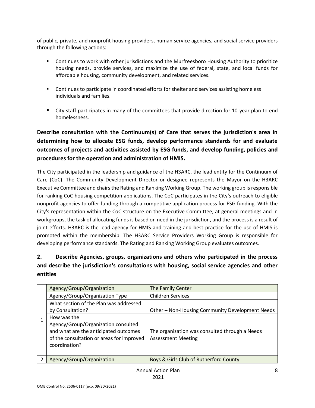of public, private, and nonprofit housing providers, human service agencies, and social service providers through the following actions:

- Continues to work with other jurisdictions and the Murfreesboro Housing Authority to prioritize housing needs, provide services, and maximize the use of federal, state, and local funds for affordable housing, community development, and related services.
- Continues to participate in coordinated efforts for shelter and services assisting homeless individuals and families.
- City staff participates in many of the committees that provide direction for 10-year plan to end homelessness.

**Describe consultation with the Continuum(s) of Care that serves the jurisdiction's area in determining how to allocate ESG funds, develop performance standards for and evaluate outcomes of projects and activities assisted by ESG funds, and develop funding, policies and procedures for the operation and administration of HMIS.**

The City participated in the leadership and guidance of the H3ARC, the lead entity for the Continuum of Care (CoC). The Community Development Director or designee represents the Mayor on the H3ARC Executive Committee and chairs the Rating and Ranking Working Group. The working group is responsible for ranking CoC housing competition applications. The CoC participates in the City's outreach to eligible nonprofit agencies to offer funding through a competitive application process for ESG funding. With the City's representation within the CoC structure on the Executive Committee, at general meetings and in workgroups, the task of allocating funds is based on need in the jurisdiction, and the process is a result of joint efforts. H3ARC is the lead agency for HMIS and training and best practice for the use of HMIS is promoted within the membership. The H3ARC Service Providers Working Group is responsible for developing performance standards. The Rating and Ranking Working Group evaluates outcomes.

# **2. Describe Agencies, groups, organizations and others who participated in the process and describe the jurisdiction's consultations with housing, social service agencies and other entities**

|   | Agency/Group/Organization                                                                                                                                 | The Family Center                                                           |
|---|-----------------------------------------------------------------------------------------------------------------------------------------------------------|-----------------------------------------------------------------------------|
|   | Agency/Group/Organization Type                                                                                                                            | <b>Children Services</b>                                                    |
|   | What section of the Plan was addressed                                                                                                                    |                                                                             |
|   | by Consultation?                                                                                                                                          | Other – Non-Housing Community Development Needs                             |
|   | How was the<br>Agency/Group/Organization consulted<br>and what are the anticipated outcomes<br>of the consultation or areas for improved<br>coordination? | The organization was consulted through a Needs<br><b>Assessment Meeting</b> |
| 2 | Agency/Group/Organization                                                                                                                                 | Boys & Girls Club of Rutherford County                                      |
|   |                                                                                                                                                           |                                                                             |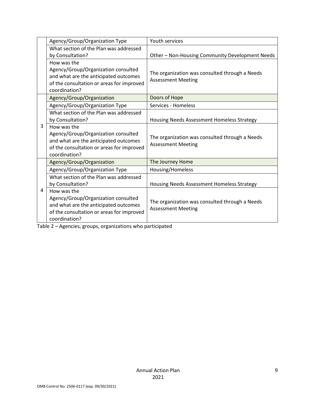|   | Agency/Group/Organization Type            | Youth services                                  |
|---|-------------------------------------------|-------------------------------------------------|
|   | What section of the Plan was addressed    |                                                 |
|   | by Consultation?                          | Other - Non-Housing Community Development Needs |
|   | How was the                               |                                                 |
|   | Agency/Group/Organization consulted       | The organization was consulted through a Needs  |
|   | and what are the anticipated outcomes     | <b>Assessment Meeting</b>                       |
|   | of the consultation or areas for improved |                                                 |
|   | coordination?                             |                                                 |
|   | Agency/Group/Organization                 | Doors of Hope                                   |
|   | Agency/Group/Organization Type            | Services - Homeless                             |
|   | What section of the Plan was addressed    |                                                 |
|   | by Consultation?                          | Housing Needs Assessment Homeless Strategy      |
| 3 | How was the                               |                                                 |
|   | Agency/Group/Organization consulted       | The organization was consulted through a Needs  |
|   | and what are the anticipated outcomes     | <b>Assessment Meeting</b>                       |
|   | of the consultation or areas for improved |                                                 |
|   | coordination?                             |                                                 |
|   | Agency/Group/Organization                 | The Journey Home                                |
|   | Agency/Group/Organization Type            | Housing/Homeless                                |
|   | What section of the Plan was addressed    |                                                 |
|   | by Consultation?                          | Housing Needs Assessment Homeless Strategy      |
| 4 | How was the                               |                                                 |
|   | Agency/Group/Organization consulted       |                                                 |
|   | and what are the anticipated outcomes     | The organization was consulted through a Needs  |
|   | of the consultation or areas for improved | <b>Assessment Meeting</b>                       |
|   | coordination?                             |                                                 |

Table 2 – Agencies, groups, organizations who participated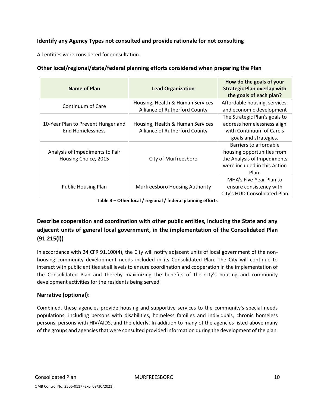#### **Identify any Agency Types not consulted and provide rationale for not consulting**

All entities were considered for consultation.

| Name of Plan                                                  | <b>Lead Organization</b>                                          | How do the goals of your<br><b>Strategic Plan overlap with</b><br>the goals of each plan?                                    |
|---------------------------------------------------------------|-------------------------------------------------------------------|------------------------------------------------------------------------------------------------------------------------------|
| Continuum of Care                                             | Housing, Health & Human Services<br>Alliance of Rutherford County | Affordable housing, services,<br>and economic development                                                                    |
| 10-Year Plan to Prevent Hunger and<br><b>End Homelessness</b> | Housing, Health & Human Services<br>Alliance of Rutherford County | The Strategic Plan's goals to<br>address homelessness align<br>with Continuum of Care's<br>goals and strategies.             |
| Analysis of Impediments to Fair<br>Housing Choice, 2015       | City of Murfreesboro                                              | Barriers to affordable<br>housing opportunities from<br>the Analysis of Impediments<br>were included in this Action<br>Plan. |
| <b>Public Housing Plan</b>                                    | Murfreesboro Housing Authority                                    | MHA's Five-Year Plan to<br>ensure consistency with<br>City's HUD Consolidated Plan                                           |

**Other local/regional/state/federal planning efforts considered when preparing the Plan**

**Table 3 – Other local / regional / federal planning efforts**

# **Describe cooperation and coordination with other public entities, including the State and any adjacent units of general local government, in the implementation of the Consolidated Plan (91.215(l))**

In accordance with 24 CFR 91.100(4), the City will notify adjacent units of local government of the nonhousing community development needs included in its Consolidated Plan. The City will continue to interact with public entities at all levels to ensure coordination and cooperation in the implementation of the Consolidated Plan and thereby maximizing the benefits of the City's housing and community development activities for the residents being served.

#### **Narrative (optional):**

Combined, these agencies provide housing and supportive services to the community's special needs populations, including persons with disabilities, homeless families and individuals, chronic homeless persons, persons with HIV/AIDS, and the elderly. In addition to many of the agencies listed above many of the groups and agencies that were consulted provided information during the development of the plan.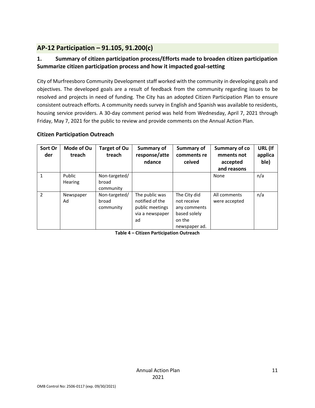# <span id="page-10-0"></span>**AP-12 Participation – 91.105, 91.200(c)**

## **1. Summary of citizen participation process/Efforts made to broaden citizen participation Summarize citizen participation process and how it impacted goal-setting**

City of Murfreesboro Community Development staff worked with the community in developing goals and objectives. The developed goals are a result of feedback from the community regarding issues to be resolved and projects in need of funding. The City has an adopted Citizen Participation Plan to ensure consistent outreach efforts. A community needs survey in English and Spanish was available to residents, housing service providers. A 30-day comment period was held from Wednesday, April 7, 2021 through Friday, May 7, 2021 for the public to review and provide comments on the Annual Action Plan.

#### **Citizen Participation Outreach**

| Sort Or<br>der | Mode of Ou<br>treach     | <b>Target of Ou</b><br>treach       | Summary of<br>response/atte<br>ndance                                         | Summary of<br>comments re<br>ceived                                                    | Summary of co<br>mments not<br>accepted<br>and reasons | URL (If<br>applica<br>ble) |
|----------------|--------------------------|-------------------------------------|-------------------------------------------------------------------------------|----------------------------------------------------------------------------------------|--------------------------------------------------------|----------------------------|
| 1              | Public<br><b>Hearing</b> | Non-targeted/<br>broad<br>community |                                                                               |                                                                                        | None                                                   | n/a                        |
| $\overline{2}$ | Newspaper<br>Ad          | Non-targeted/<br>broad<br>community | The public was<br>notified of the<br>public meetings<br>via a newspaper<br>ad | The City did<br>not receive<br>any comments<br>based solely<br>on the<br>newspaper ad. | All comments<br>were accepted                          | n/a                        |

<span id="page-10-1"></span>**Table 4 – Citizen Participation Outreach**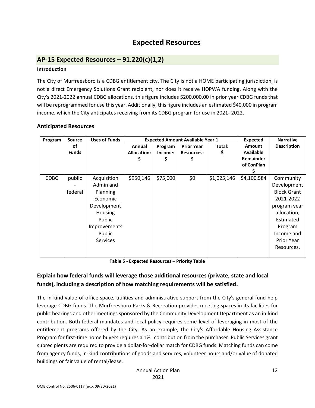# **Expected Resources**

# <span id="page-11-0"></span>**AP-15 Expected Resources – 91.220(c)(1,2)**

#### **Introduction**

The City of Murfreesboro is a CDBG entitlement city. The City is not a HOME participating jurisdiction, is not a direct Emergency Solutions Grant recipient, nor does it receive HOPWA funding. Along with the City's 2021-2022 annual CDBG allocations, this figure includes \$200,000.00 in prior year CDBG funds that will be reprogrammed for use this year. Additionally, this figure includes an estimated \$40,000 in program income, which the City anticipates receiving from its CDBG program for use in 2021- 2022.

#### **Anticipated Resources**

| Program     | <b>Source</b> | <b>Uses of Funds</b> |                    | <b>Expected Amount Available Year 1</b> | <b>Expected</b>   | <b>Narrative</b> |                  |                    |
|-------------|---------------|----------------------|--------------------|-----------------------------------------|-------------------|------------------|------------------|--------------------|
|             | οf            |                      | Annual             | Program                                 | <b>Prior Year</b> | Total:           | Amount           | <b>Description</b> |
|             | <b>Funds</b>  |                      | <b>Allocation:</b> | Income:                                 | <b>Resources:</b> |                  | <b>Available</b> |                    |
|             |               |                      | \$                 | \$                                      |                   |                  | Remainder        |                    |
|             |               |                      |                    |                                         |                   |                  | of ConPlan       |                    |
|             |               |                      |                    |                                         |                   |                  |                  |                    |
| <b>CDBG</b> | public        | Acquisition          | \$950,146          | \$75,000                                | \$0               | \$1,025,146      | \$4,100,584      | Community          |
|             |               | Admin and            |                    |                                         |                   |                  |                  | Development        |
|             | federal       | Planning             |                    |                                         |                   |                  |                  | <b>Block Grant</b> |
|             |               | Economic             |                    |                                         |                   |                  |                  | 2021-2022          |
|             |               | Development          |                    |                                         |                   |                  |                  | program year       |
|             |               | Housing              |                    |                                         |                   |                  |                  | allocation;        |
|             |               | Public               |                    |                                         |                   |                  |                  | Estimated          |
|             |               | <b>Improvements</b>  |                    |                                         |                   |                  |                  | Program            |
|             |               | Public               |                    |                                         |                   |                  |                  | Income and         |
|             |               | <b>Services</b>      |                    |                                         |                   |                  |                  | <b>Prior Year</b>  |
|             |               |                      |                    |                                         |                   |                  |                  | Resources.         |

**Table 5 - Expected Resources – Priority Table**

## **Explain how federal funds will leverage those additional resources (private, state and local funds), including a description of how matching requirements will be satisfied.**

The in-kind value of office space, utilities and administrative support from the City's general fund help leverage CDBG funds. The Murfreesboro Parks & Recreation provides meeting spaces in its facilities for public hearings and other meetings sponsored by the Community Development Department as an in-kind contribution. Both federal mandates and local policy requires some level of leveraging in most of the entitlement programs offered by the City. As an example, the City's Affordable Housing Assistance Program for first-time home buyers requires a 1% contribution from the purchaser. Public Services grant subrecipients are required to provide a dollar-for-dollar match for CDBG funds. Matching funds can come from agency funds, in-kind contributions of goods and services, volunteer hours and/or value of donated buildings or fair value of rental/lease.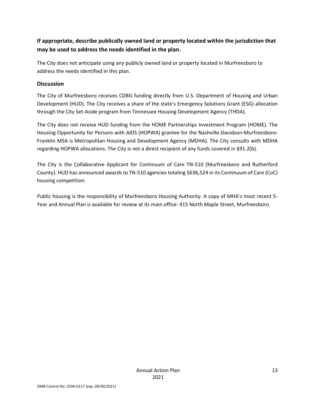# **If appropriate, describe publically owned land or property located within the jurisdiction that may be used to address the needs identified in the plan.**

The City does not anticipate using any publicly owned land or property located in Murfreesboro to address the needs identified in this plan.

#### **Discussion**

The City of Murfreesboro receives CDBG funding directly from U.S. Department of Housing and Urban Development (HUD). The City receives a share of the state's Emergency Solutions Grant (ESG) allocation through the City Set-Aside program from Tennessee Housing Development Agency (THDA).

The City does not receive HUD funding from the HOME Partnerships Investment Program (HOME). The Housing Opportunity for Persons with AIDS (HOPWA) grantee for the Nashville-Davidson-Murfreesboro-Franklin MSA is Metropolitan Housing and Development Agency (MDHA). The City consults with MDHA regarding HOPWA allocations. The City is not a direct recipient of any funds covered in §91.2(b).

The City is the Collaborative Applicant for Continuum of Care TN-510 (Murfreesboro and Rutherford County). HUD has announced awards to TN-510 agencies totaling \$636,524 in its Continuum of Care (CoC) housing competition.

Public housing is the responsibility of Murfreesboro Housing Authority. A copy of MHA's most recent 5- Year and Annual Plan is available for review at its main office: 415 North Maple Street, Murfreesboro.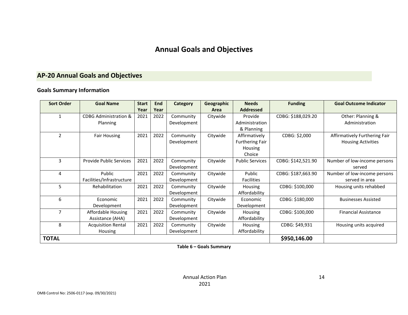# **Annual Goals and Objectives**

# **AP-20 Annual Goals and Objectives**

#### **Goals Summary Information**

<span id="page-13-0"></span>

| <b>Sort Order</b> | <b>Goal Name</b>                 | <b>Start</b> | End  | Category    | Geographic | <b>Needs</b>           | <b>Funding</b>     | <b>Goal Outcome Indicator</b> |
|-------------------|----------------------------------|--------------|------|-------------|------------|------------------------|--------------------|-------------------------------|
|                   |                                  | Year         | Year |             | Area       | <b>Addressed</b>       |                    |                               |
|                   | <b>CDBG Administration &amp;</b> | 2021         | 2022 | Community   | Citywide   | Provide                | CDBG: \$188,029.20 | Other: Planning &             |
|                   | Planning                         |              |      | Development |            | Administration         |                    | Administration                |
|                   |                                  |              |      |             |            | & Planning             |                    |                               |
| $\overline{2}$    | <b>Fair Housing</b>              | 2021         | 2022 | Community   | Citywide   | Affirmatively          | CDBG: \$2,000      | Affirmatively Furthering Fair |
|                   |                                  |              |      | Development |            | <b>Furthering Fair</b> |                    | <b>Housing Activities</b>     |
|                   |                                  |              |      |             |            | Housing                |                    |                               |
|                   |                                  |              |      |             |            | Choice                 |                    |                               |
| 3                 | <b>Provide Public Services</b>   | 2021         | 2022 | Community   | Citywide   | <b>Public Services</b> | CDBG: \$142,521.90 | Number of low-income persons  |
|                   |                                  |              |      | Development |            |                        |                    | served                        |
| 4                 | Public                           | 2021         | 2022 | Community   | Citywide   | Public                 | CDBG: \$187,663.90 | Number of low-income persons  |
|                   | Facilities/Infrastructure        |              |      | Development |            | Facilities             |                    | served in area                |
| 5                 | Rehabilitation                   | 2021         | 2022 | Community   | Citywide   | <b>Housing</b>         | CDBG: \$100,000    | Housing units rehabbed        |
|                   |                                  |              |      | Development |            | Affordability          |                    |                               |
| 6                 | Economic                         | 2021         | 2022 | Community   | Citywide   | Economic               | CDBG: \$180,000    | <b>Businesses Assisted</b>    |
|                   | Development                      |              |      | Development |            | Development            |                    |                               |
| 7                 | Affordable Housing               | 2021         | 2022 | Community   | Citywide   | Housing                | CDBG: \$100,000    | <b>Financial Assistance</b>   |
|                   | Assistance (AHA)                 |              |      | Development |            | Affordability          |                    |                               |
| 8                 | <b>Acquisition Rental</b>        | 2021         | 2022 | Community   | Citywide   | Housing                | CDBG: \$49,931     | Housing units acquired        |
|                   | Housing                          |              |      | Development |            | Affordability          |                    |                               |
| <b>TOTAL</b>      |                                  |              |      |             |            |                        | \$950,146.00       |                               |

**Table 6 – Goals Summary**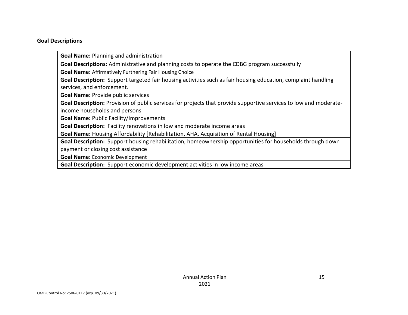#### **Goal Descriptions**

**Goal Name:** Planning and administration

**Goal Descriptions:** Administrative and planning costs to operate the CDBG program successfully

**Goal Name:** Affirmatively Furthering Fair Housing Choice

**Goal Description:** Support targeted fair housing activities such as fair housing education, complaint handling services, and enforcement.

**Goal Name:** Provide public services

**Goal Description:** Provision of public services for projects that provide supportive services to low and moderateincome households and persons

**Goal Name:** Public Facility/Improvements

**Goal Description:** Facility renovations in low and moderate income areas

**Goal Name:** Housing Affordability [Rehabilitation, AHA, Acquisition of Rental Housing]

**Goal Description:** Support housing rehabilitation, homeownership opportunities for households through down

payment or closing cost assistance

**Goal Name:** Economic Development

**Goal Description:** Support economic development activities in low income areas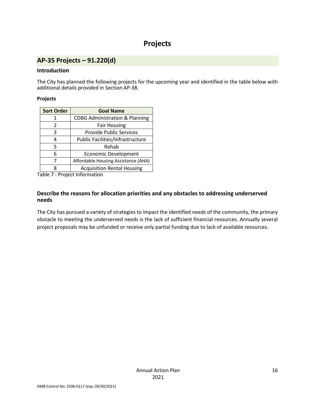# **Projects**

# <span id="page-15-1"></span><span id="page-15-0"></span>**AP-35 Projects – 91.220(d)**

#### **Introduction**

The City has planned the following projects for the upcoming year and identified in the table below with additional details provided in Section AP-38.

#### **Projects**

| <b>Sort Order</b> | <b>Goal Name</b>                          |
|-------------------|-------------------------------------------|
| 1                 | <b>CDBG Administration &amp; Planning</b> |
| 2                 | <b>Fair Housing</b>                       |
| 3                 | <b>Provide Public Services</b>            |
| 4                 | Public Facilities/Infrastructure          |
| 5                 | Rehab                                     |
| 6                 | <b>Economic Development</b>               |
| 7                 | Affordable Housing Assistance (AHA)       |
| 8                 | <b>Acquisition Rental Housing</b>         |

Table 7 - Project Information

#### **Describe the reasons for allocation priorities and any obstacles to addressing underserved needs**

The City has pursued a variety of strategies to impact the identified needs of the community, the primary obstacle to meeting the underserved needs is the lack of sufficient financial resources. Annually several project proposals may be unfunded or receive only partial funding due to lack of available resources.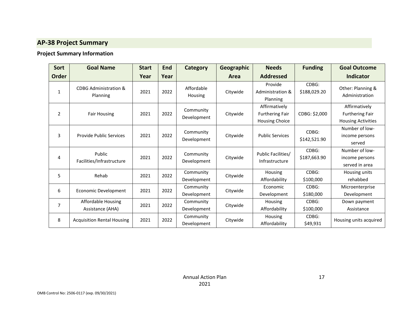# **AP-38 Project Summary**

# **Project Summary Information**

<span id="page-16-0"></span>

| Sort           | <b>Goal Name</b>                              | <b>Start</b> | <b>End</b> | Category                     | Geographic | <b>Needs</b>                                                     | <b>Funding</b>        | <b>Goal Outcome</b>                                                  |
|----------------|-----------------------------------------------|--------------|------------|------------------------------|------------|------------------------------------------------------------------|-----------------------|----------------------------------------------------------------------|
| <b>Order</b>   |                                               | Year         | Year       |                              | Area       | <b>Addressed</b>                                                 |                       | <b>Indicator</b>                                                     |
| $\mathbf{1}$   | <b>CDBG Administration &amp;</b><br>Planning  | 2021         | 2022       | Affordable<br><b>Housing</b> | Citywide   | Provide<br>Administration &<br>Planning                          | CDBG:<br>\$188,029.20 | Other: Planning &<br>Administration                                  |
| 2              | <b>Fair Housing</b>                           | 2021         | 2022       | Community<br>Development     | Citywide   | Affirmatively<br><b>Furthering Fair</b><br><b>Housing Choice</b> | CDBG: \$2,000         | Affirmatively<br><b>Furthering Fair</b><br><b>Housing Activities</b> |
| 3              | <b>Provide Public Services</b>                | 2021         | 2022       | Community<br>Development     | Citywide   | <b>Public Services</b>                                           | CDBG:<br>\$142,521.90 | Number of low-<br>income persons<br>served                           |
| 4              | Public<br>Facilities/Infrastructure           | 2021         | 2022       | Community<br>Development     | Citywide   | Public Facilities/<br>Infrastructure                             | CDBG:<br>\$187,663.90 | Number of low-<br>income persons<br>served in area                   |
| 5              | Rehab                                         | 2021         | 2022       | Community<br>Development     | Citywide   | Housing<br>Affordability                                         | CDBG:<br>\$100,000    | Housing units<br>rehabbed                                            |
| 6              | Economic Development                          | 2021         | 2022       | Community<br>Development     | Citywide   | Economic<br>Development                                          | CDBG:<br>\$180,000    | Microenterprise<br>Development                                       |
| $\overline{7}$ | <b>Affordable Housing</b><br>Assistance (AHA) | 2021         | 2022       | Community<br>Development     | Citywide   | Housing<br>Affordability                                         | CDBG:<br>\$100,000    | Down payment<br>Assistance                                           |
| 8              | <b>Acquisition Rental Housing</b>             | 2021         | 2022       | Community<br>Development     | Citywide   | Housing<br>Affordability                                         | CDBG:<br>\$49,931     | Housing units acquired                                               |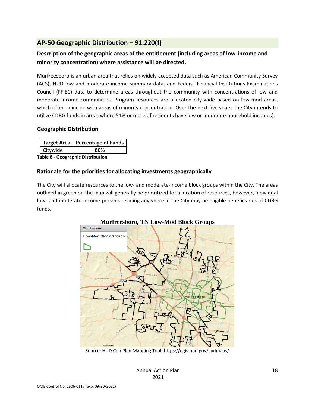# <span id="page-17-0"></span>**AP-50 Geographic Distribution – 91.220(f)**

# **Description of the geographic areas of the entitlement (including areas of low-income and minority concentration) where assistance will be directed.**

Murfreesboro is an urban area that relies on widely accepted data such as American Community Survey (ACS), HUD low and moderate-income summary data, and Federal Financial Institutions Examinations Council (FFIEC) data to determine areas throughout the community with concentrations of low and moderate-income communities. Program resources are allocated city-wide based on low-mod areas, which often coincide with areas of minority concentration. Over the next five years, the City intends to utilize CDBG funds in areas where 51% or more of residents have low or moderate household incomes).

#### **Geographic Distribution**

|                                   | Target Area   Percentage of Funds |  |  |  |  |  |
|-----------------------------------|-----------------------------------|--|--|--|--|--|
| Citywide                          | 80%                               |  |  |  |  |  |
| Eable O - Cannonable Distuibution |                                   |  |  |  |  |  |

**Table 8 - Geographic Distribution** 

#### **Rationale for the priorities for allocating investments geographically**

The City will allocate resources to the low- and moderate-income block groups within the City. The areas outlined in green on the map will generally be prioritized for allocation of resources, however, individual low- and moderate-income persons residing anywhere in the City may be eligible beneficiaries of CDBG funds.



Source: HUD Con Plan Mapping Tool. https://egis.hud.gov/cpdmaps/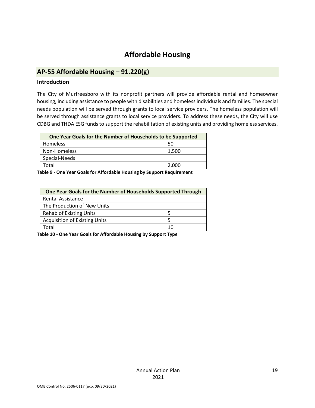# **Affordable Housing**

# <span id="page-18-1"></span><span id="page-18-0"></span>**AP-55 Affordable Housing – 91.220(g)**

#### **Introduction**

The City of Murfreesboro with its nonprofit partners will provide affordable rental and homeowner housing, including assistance to people with disabilities and homeless individuals and families. The special needs population will be served through grants to local service providers. The homeless population will be served through assistance grants to local service providers. To address these needs, the City will use CDBG and THDA ESG funds to support the rehabilitation of existing units and providing homeless services.

| One Year Goals for the Number of Households to be Supported |       |
|-------------------------------------------------------------|-------|
| Homeless                                                    | 50    |
| Non-Homeless                                                | 1,500 |
| Special-Needs                                               |       |
| Total                                                       | 2,000 |

**Table 9 - One Year Goals for Affordable Housing by Support Requirement**

| One Year Goals for the Number of Households Supported Through |    |  |
|---------------------------------------------------------------|----|--|
| <b>Rental Assistance</b>                                      |    |  |
| The Production of New Units                                   |    |  |
| <b>Rehab of Existing Units</b>                                | 5  |  |
| <b>Acquisition of Existing Units</b>                          |    |  |
| Total                                                         | 10 |  |

**Table 10 - One Year Goals for Affordable Housing by Support Type**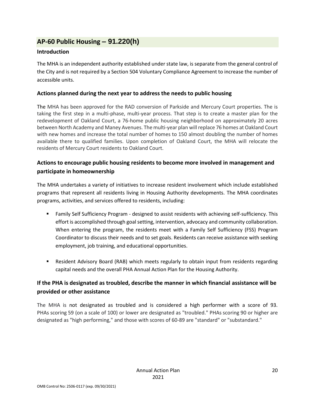# <span id="page-19-0"></span>**AP-60 Public Housing** *–* **91.220(h)**

#### **Introduction**

The MHA is an independent authority established under state law, is separate from the general control of the City and is not required by a Section 504 Voluntary Compliance Agreement to increase the number of accessible units.

#### **Actions planned during the next year to address the needs to public housing**

The MHA has been approved for the RAD conversion of Parkside and Mercury Court properties. The is taking the first step in a multi-phase, multi-year process. That step is to create a master plan for the redevelopment of Oakland Court, a 76-home public housing neighborhood on approximately 20 acres between North Academy and Maney Avenues. The multi-year plan will replace 76 homes at Oakland Court with new homes and increase the total number of homes to 150 almost doubling the number of homes available there to qualified families. Upon completion of Oakland Court, the MHA will relocate the residents of Mercury Court residents to Oakland Court.

# **Actions to encourage public housing residents to become more involved in management and participate in homeownership**

The MHA undertakes a variety of initiatives to increase resident involvement which include established programs that represent all residents living in Housing Authority developments. The MHA coordinates programs, activities, and services offered to residents, including:

- **EXECT Family Self Sufficiency Program designed to assist residents with achieving self-sufficiency. This** effort is accomplished through goal setting, intervention, advocacy and community collaboration. When entering the program, the residents meet with a Family Self Sufficiency (FSS) Program Coordinator to discuss their needs and to set goals. Residents can receive assistance with seeking employment, job training, and educational opportunities.
- **E** Resident Advisory Board (RAB) which meets regularly to obtain input from residents regarding capital needs and the overall PHA Annual Action Plan for the Housing Authority.

# **If the PHA is designated as troubled, describe the manner in which financial assistance will be provided or other assistance**

The MHA is not designated as troubled and is considered a high performer with a score of 93. PHAs scoring 59 (on a scale of 100) or lower are designated as "troubled." PHAs scoring 90 or higher are designated as "high performing," and those with scores of 60-89 are "standard" or "substandard."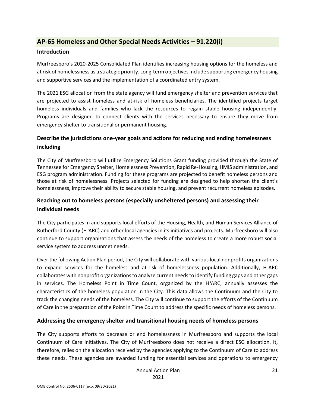# <span id="page-20-0"></span>**AP-65 Homeless and Other Special Needs Activities – 91.220(i)**

#### **Introduction**

Murfreesboro's 2020-2025 Consolidated Plan identifies increasing housing options for the homeless and at risk of homelessness as a strategic priority. Long-term objectives include supporting emergency housing and supportive services and the implementation of a coordinated entry system.

The 2021 ESG allocation from the state agency will fund emergency shelter and prevention services that are projected to assist homeless and at-risk of homeless beneficiaries. The identified projects target homeless individuals and families who lack the resources to regain stable housing independently. Programs are designed to connect clients with the services necessary to ensure they move from emergency shelter to transitional or permanent housing.

# **Describe the jurisdictions one-year goals and actions for reducing and ending homelessness including**

The City of Murfreesboro will utilize Emergency Solutions Grant funding provided through the State of Tennessee for Emergency Shelter, Homelessness Prevention, Rapid Re-Housing, HMIS administration, and ESG program administration. Funding for these programs are projected to benefit homeless persons and those at risk of homelessness. Projects selected for funding are designed to help shorten the client's homelessness, improve their ability to secure stable housing, and prevent recurrent homeless episodes.

# **Reaching out to homeless persons (especially unsheltered persons) and assessing their individual needs**

The City participates in and supports local efforts of the Housing, Health, and Human Services Alliance of Rutherford County (H<sup>3</sup>ARC) and other local agencies in its initiatives and projects. Murfreesboro will also continue to support organizations that assess the needs of the homeless to create a more robust social service system to address unmet needs.

Over the following Action Plan period, the City will collaborate with various local nonprofits organizations to expand services for the homeless and at-risk of homelessness population. Additionally, H<sup>3</sup>ARC collaborates with nonprofit organizations to analyze current needs to identify funding gaps and other gaps in services. The Homeless Point in Time Count, organized by the H<sup>3</sup>ARC, annually assesses the characteristics of the homeless population in the City. This data allows the Continuum and the City to track the changing needs of the homeless. The City will continue to support the efforts of the Continuum of Care in the preparation of the Point in Time Count to address the specific needs of homeless persons.

#### **Addressing the emergency shelter and transitional housing needs of homeless persons**

The City supports efforts to decrease or end homelessness in Murfreesboro and supports the local Continuum of Care initiatives. The City of Murfreesboro does not receive a direct ESG allocation. It, therefore, relies on the allocation received by the agencies applying to the Continuum of Care to address these needs. These agencies are awarded funding for essential services and operations to emergency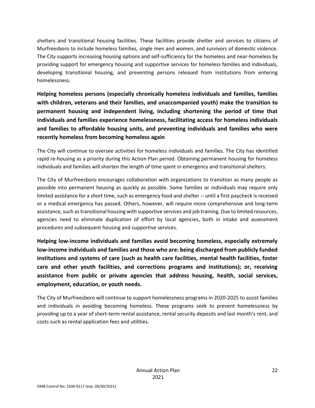shelters and transitional housing facilities. These facilities provide shelter and services to citizens of Murfreesboro to include homeless families, single men and women, and survivors of domestic violence. The City supports increasing housing options and self-sufficiency for the homeless and near-homeless by providing support for emergency housing and supportive services for homeless families and individuals, developing transitional housing, and preventing persons released from institutions from entering homelessness.

**Helping homeless persons (especially chronically homeless individuals and families, families with children, veterans and their families, and unaccompanied youth) make the transition to permanent housing and independent living, including shortening the period of time that individuals and families experience homelessness, facilitating access for homeless individuals and families to affordable housing units, and preventing individuals and families who were recently homeless from becoming homeless again**

The City will continue to oversee activities for homeless individuals and families. The City has identified rapid re-housing as a priority during this Action Plan period. Obtaining permanent housing for homeless individuals and families will shorten the length of time spent in emergency and transitional shelters.

The City of Murfreesboro encourages collaboration with organizations to transition as many people as possible into permanent housing as quickly as possible. Some families or individuals may require only limited assistance for a short time, such as emergency food and shelter -- until a first paycheck is received or a medical emergency has passed. Others, however, will require more comprehensive and long-term assistance, such as transitional housing with supportive services and job training. Due to limited resources, agencies need to eliminate duplication of effort by local agencies, both in intake and assessment procedures and subsequent housing and supportive services.

**Helping low-income individuals and families avoid becoming homeless, especially extremely low-income individuals and families and those who are: being discharged from publicly funded institutions and systems of care (such as health care facilities, mental health facilities, foster care and other youth facilities, and corrections programs and institutions); or, receiving assistance from public or private agencies that address housing, health, social services, employment, education, or youth needs.**

The City of Murfreesboro will continue to support homelessness programs in 2020-2025 to assist families and individuals in avoiding becoming homeless. These programs seek to prevent homelessness by providing up to a year of short-term rental assistance, rental security deposits and last month's rent, and costs such as rental application fees and utilities.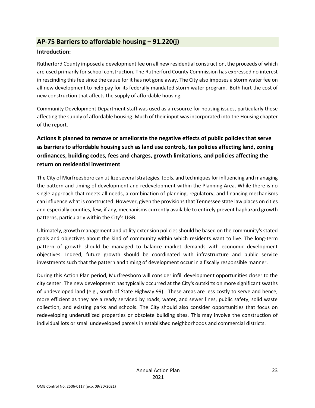# <span id="page-22-0"></span>**AP-75 Barriers to affordable housing – 91.220(j)**

#### **Introduction:**

Rutherford County imposed a development fee on all new residential construction, the proceeds of which are used primarily for school construction. The Rutherford County Commission has expressed no interest in rescinding this fee since the cause for it has not gone away. The City also imposes a storm water fee on all new development to help pay for its federally mandated storm water program. Both hurt the cost of new construction that affects the supply of affordable housing.

Community Development Department staff was used as a resource for housing issues, particularly those affecting the supply of affordable housing. Much of their input was incorporated into the Housing chapter of the report.

# **Actions it planned to remove or ameliorate the negative effects of public policies that serve as barriers to affordable housing such as land use controls, tax policies affecting land, zoning ordinances, building codes, fees and charges, growth limitations, and policies affecting the return on residential investment**

The City of Murfreesboro can utilize several strategies, tools, and techniques for influencing and managing the pattern and timing of development and redevelopment within the Planning Area. While there is no single approach that meets all needs, a combination of planning, regulatory, and financing mechanisms can influence what is constructed. However, given the provisions that Tennessee state law places on cities and especially counties, few, if any, mechanisms currently available to entirely prevent haphazard growth patterns, particularly within the City's UGB.

Ultimately, growth management and utility extension policies should be based on the community's stated goals and objectives about the kind of community within which residents want to live. The long-term pattern of growth should be managed to balance market demands with economic development objectives. Indeed, future growth should be coordinated with infrastructure and public service investments such that the pattern and timing of development occur in a fiscally responsible manner.

During this Action Plan period, Murfreesboro will consider infill development opportunities closer to the city center. The new development has typically occurred at the City's outskirts on more significant swaths of undeveloped land (e.g., south of State Highway 99). These areas are less costly to serve and hence, more efficient as they are already serviced by roads, water, and sewer lines, public safety, solid waste collection, and existing parks and schools. The City should also consider opportunities that focus on redeveloping underutilized properties or obsolete building sites. This may involve the construction of individual lots or small undeveloped parcels in established neighborhoods and commercial districts.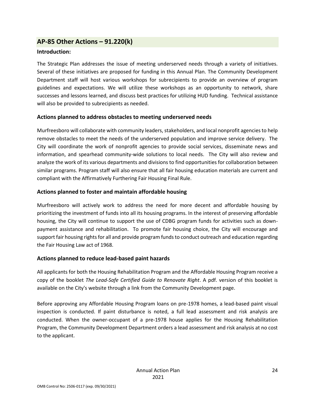## <span id="page-23-0"></span>**AP-85 Other Actions – 91.220(k)**

#### **Introduction:**

The Strategic Plan addresses the issue of meeting underserved needs through a variety of initiatives. Several of these initiatives are proposed for funding in this Annual Plan. The Community Development Department staff will host various workshops for subrecipients to provide an overview of program guidelines and expectations. We will utilize these workshops as an opportunity to network, share successes and lessons learned, and discuss best practices for utilizing HUD funding. Technical assistance will also be provided to subrecipients as needed.

#### **Actions planned to address obstacles to meeting underserved needs**

Murfreesboro will collaborate with community leaders, stakeholders, and local nonprofit agencies to help remove obstacles to meet the needs of the underserved population and improve service delivery. The City will coordinate the work of nonprofit agencies to provide social services, disseminate news and information, and spearhead community-wide solutions to local needs. The City will also review and analyze the work of its various departments and divisions to find opportunities for collaboration between similar programs. Program staff will also ensure that all fair housing education materials are current and compliant with the Affirmatively Furthering Fair Housing Final Rule.

#### **Actions planned to foster and maintain affordable housing**

Murfreesboro will actively work to address the need for more decent and affordable housing by prioritizing the investment of funds into all its housing programs. In the interest of preserving affordable housing, the City will continue to support the use of CDBG program funds for activities such as downpayment assistance and rehabilitation. To promote fair housing choice, the City will encourage and support fair housing rights for all and provide program funds to conduct outreach and education regarding the Fair Housing Law act of 1968.

#### **Actions planned to reduce lead-based paint hazards**

All applicants for both the Housing Rehabilitation Program and the Affordable Housing Program receive a copy of the booklet *The Lead-Safe Certified Guide to Renovate Right*. A pdf. version of this booklet is available on the City's website through a link from the Community Development page.

Before approving any Affordable Housing Program loans on pre-1978 homes, a lead-based paint visual inspection is conducted. If paint disturbance is noted, a full lead assessment and risk analysis are conducted. When the owner-occupant of a pre-1978 house applies for the Housing Rehabilitation Program, the Community Development Department orders a lead assessment and risk analysis at no cost to the applicant.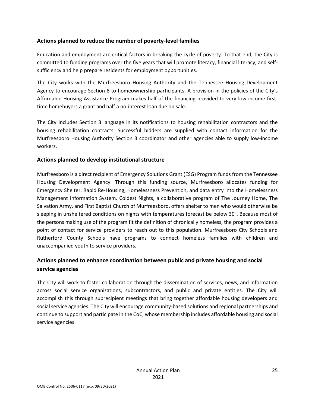#### **Actions planned to reduce the number of poverty-level families**

Education and employment are critical factors in breaking the cycle of poverty. To that end, the City is committed to funding programs over the five years that will promote literacy, financial literacy, and selfsufficiency and help prepare residents for employment opportunities.

The City works with the Murfreesboro Housing Authority and the Tennessee Housing Development Agency to encourage Section 8 to homeownership participants. A provision in the policies of the City's Affordable Housing Assistance Program makes half of the financing provided to very-low-income firsttime homebuyers a grant and half a no-interest loan due on sale.

The City includes Section 3 language in its notifications to housing rehabilitation contractors and the housing rehabilitation contracts. Successful bidders are supplied with contact information for the Murfreesboro Housing Authority Section 3 coordinator and other agencies able to supply low-income workers.

#### **Actions planned to develop institutional structure**

Murfreesboro is a direct recipient of Emergency Solutions Grant (ESG) Program funds from the Tennessee Housing Development Agency. Through this funding source, Murfreesboro allocates funding for Emergency Shelter, Rapid Re-Housing, Homelessness Prevention, and data entry into the Homelessness Management Information System. Coldest Nights, a collaborative program of The Journey Home, The Salvation Army, and First Baptist Church of Murfreesboro, offers shelter to men who would otherwise be sleeping in unsheltered conditions on nights with temperatures forecast be below 30°. Because most of the persons making use of the program fit the definition of chronically homeless, the program provides a point of contact for service providers to reach out to this population. Murfreesboro City Schools and Rutherford County Schools have programs to connect homeless families with children and unaccompanied youth to service providers.

# **Actions planned to enhance coordination between public and private housing and social service agencies**

The City will work to foster collaboration through the dissemination of services, news, and information across social service organizations, subcontractors, and public and private entities. The City will accomplish this through subrecipient meetings that bring together affordable housing developers and social service agencies. The City will encourage community-based solutions and regional partnerships and continue to support and participate in the CoC, whose membership includes affordable housing and social service agencies.